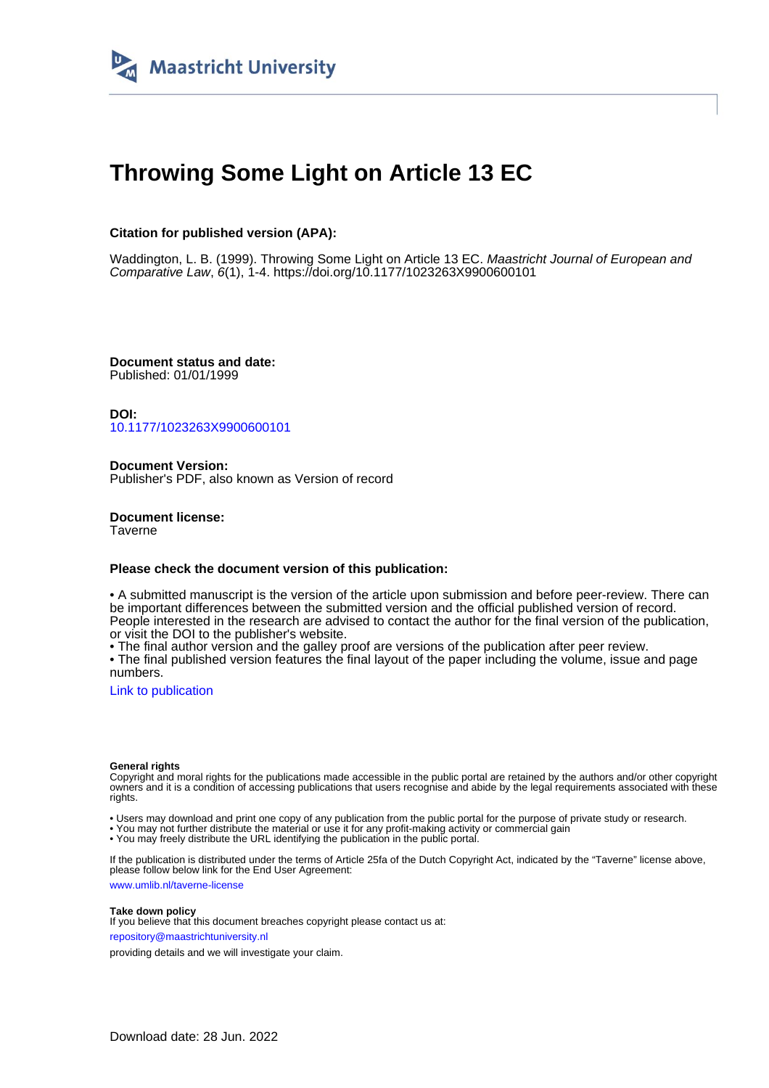

# **Throwing Some Light on Article 13 EC**

## **Citation for published version (APA):**

Waddington, L. B. (1999). Throwing Some Light on Article 13 EC. Maastricht Journal of European and Comparative Law, 6(1), 1-4. <https://doi.org/10.1177/1023263X9900600101>

**Document status and date:** Published: 01/01/1999

**DOI:** [10.1177/1023263X9900600101](https://doi.org/10.1177/1023263X9900600101)

**Document Version:** Publisher's PDF, also known as Version of record

**Document license: Taverne** 

### **Please check the document version of this publication:**

• A submitted manuscript is the version of the article upon submission and before peer-review. There can be important differences between the submitted version and the official published version of record. People interested in the research are advised to contact the author for the final version of the publication, or visit the DOI to the publisher's website.

• The final author version and the galley proof are versions of the publication after peer review.

• The final published version features the final layout of the paper including the volume, issue and page numbers.

[Link to publication](https://cris.maastrichtuniversity.nl/en/publications/024645ac-a930-4666-bcba-5d9fb54052a5)

#### **General rights**

Copyright and moral rights for the publications made accessible in the public portal are retained by the authors and/or other copyright owners and it is a condition of accessing publications that users recognise and abide by the legal requirements associated with these rights.

• Users may download and print one copy of any publication from the public portal for the purpose of private study or research.

• You may not further distribute the material or use it for any profit-making activity or commercial gain

• You may freely distribute the URL identifying the publication in the public portal.

If the publication is distributed under the terms of Article 25fa of the Dutch Copyright Act, indicated by the "Taverne" license above, please follow below link for the End User Agreement:

www.umlib.nl/taverne-license

#### **Take down policy**

If you believe that this document breaches copyright please contact us at: repository@maastrichtuniversity.nl

providing details and we will investigate your claim.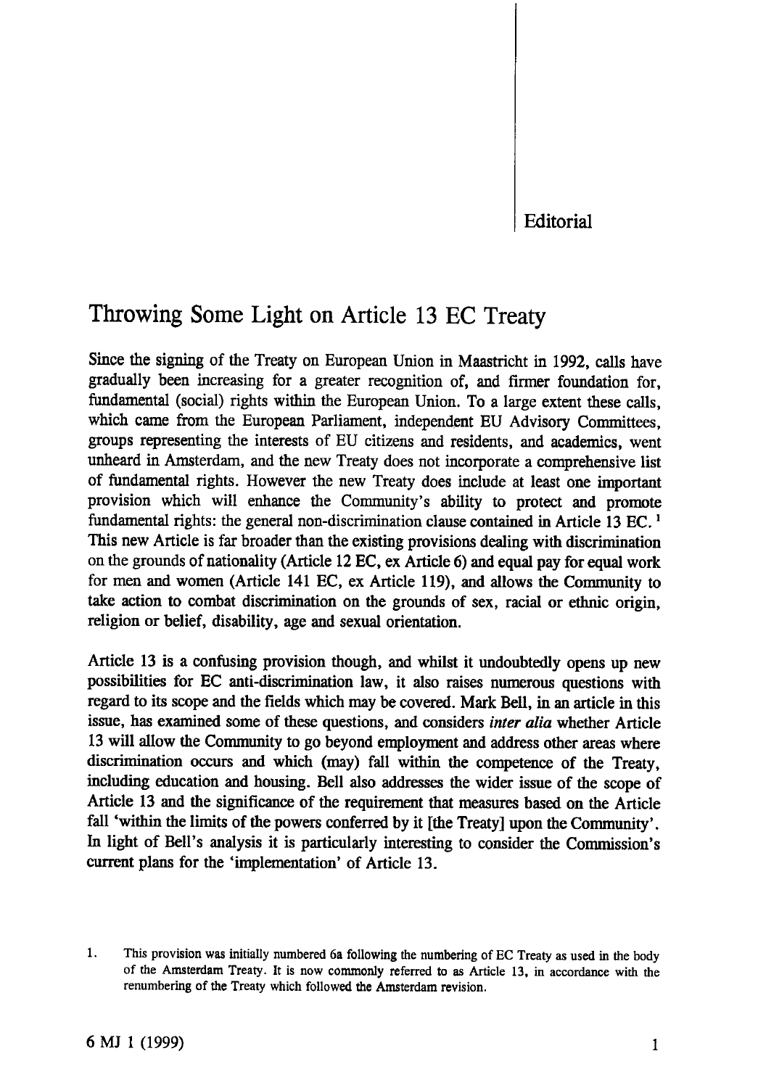**Editorial**

# **Throwing Some Light on Article 13 EC Treaty**

Since the signing of the Treaty on European Union in Maastricht in 1992, calls have gradually been increasing for a greater recognition of, and firmer foundation for, fundamental (social) rights within the European Union. To a large extent these calls, which came from the European Parliament, independent EU Advisory Committees, groups representing the interests of EU citizens and residents, and academics, went unheard in Amsterdam, and the new Treaty does not incorporate a comprehensive list of fundamental rights. However the new Treaty does include at least one important provision which will enhance the Community's ability to protect and promote fundamental rights: the general non-discrimination clause contained in Article 13 EC.<sup>1</sup> This new Article is far broader than the existing provisions dealing with discrimination on the grounds of nationality (Article 12 EC, ex Article 6) and equal pay for equal work for men and women (Article 141 EC, ex Article 119), and allows the Community to take action to combat discrimination on the grounds of sex, racial or ethnic origin, religion or belief, disability, age and sexual orientation.

Article 13 is a confusing provision though, and whilst it undoubtedly opens up new possibilities for EC anti-discrimination law, it also raises numerous questions with regard to its scope and the fields which may be covered. Mark Bell, in an article in this issue, has examined some of these questions, and considers *inter alia* whether Article 13 will allow the Community to go beyond employment and address other areas where discrimination occurs and which (may) fall within the competence of the Treaty, including education and housing. Bell also addresses the wider issue of the scope of Article 13 and the significance of the requirement that measures based on the Article fall 'within the limits of the powers conferred by it [the Treaty] upon the Community'. In light of Bell's analysis it is particularly interesting to consider the Commission's current plans for the 'implementation' of Article 13.

<sup>1.</sup> This provision was initially numbered 6a following the numbering of EC Treaty as used in the body of the Amsterdam Treaty. It is now commonly referred to as Article 13, in accordance with the renumbering of the Treaty which followed the Amsterdam revision.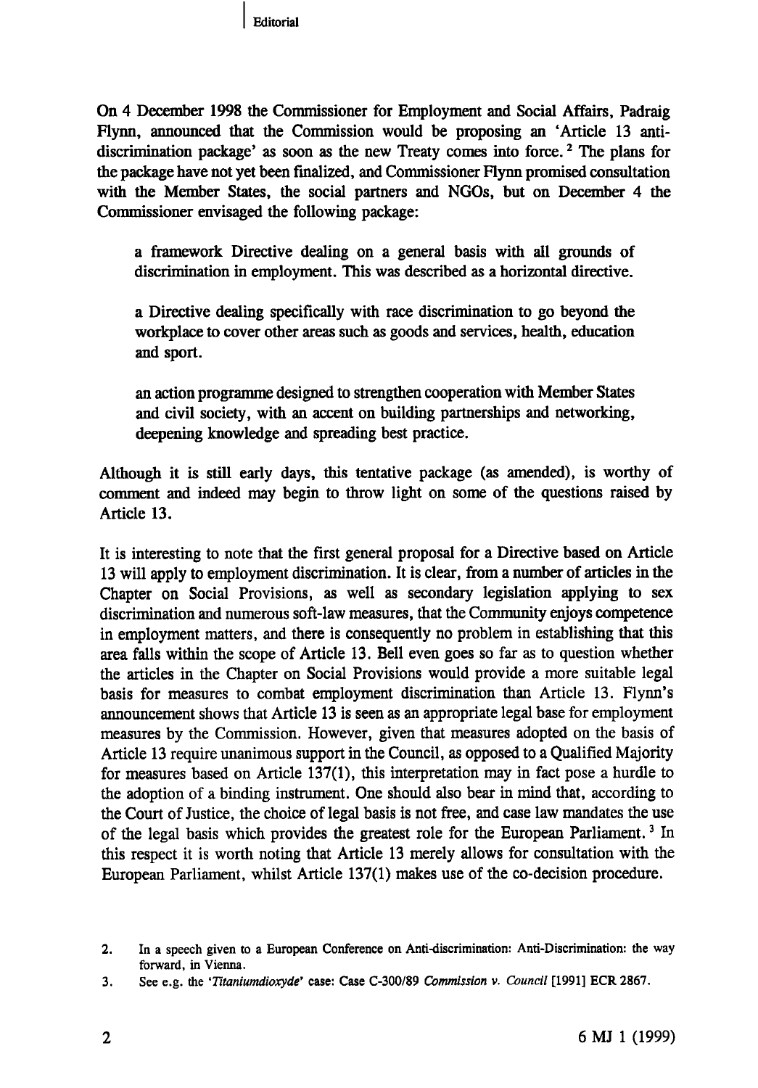On 4 December 1998 the Commissioner for Employment and Social Affairs, Padraig Flynn, announced that the Commission would be proposing an 'Article 13 antidiscrimination package' as soon as the new Treaty comes into force.<sup>2</sup> The plans for the package have not yet been finalized, and Commissioner Flynn promised consultation with the Member States, the social partners and NGOs, but on December 4 the Commissioner envisaged the following package:

a framework Directive dealing on a general basis with all grounds of discrimination in employment. This was described as a horizontal directive.

a Directive dealing specifically with race discrimination to go beyond the workplace to cover other areas such as goods and services, health, education and sport.

an action programme designed to strengthen cooperation with Member States and civil society, with an accent on building partnerships and networking, deepening knowledge and spreading best practice.

Although it is still early days, this tentative package (as amended), is worthy of comment and indeed may begin to throw light on some of the questions raised by Article 13.

It is interesting to note that the first general proposal for a Directive based on Article 13 will apply to employment discrimination. It is clear, from a number of articles in the Chapter on Social Provisions, as well as secondary legislation applying to sex discrimination and numerous soft-law measures, that the Community enjoys competence in employment matters, and there is consequently no problem in establishing that this area falls within the scope of Article 13. Bell even goes so far as to question whether the articles in the Chapter on Social Provisions would provide a more suitable legal basis for measures to combat employment discrimination than Article 13. Flynn's announcement shows that Article 13 is seen as an appropriate legal base for employment measures by the Commission. However, given that measures adopted on the basis of Article 13 require unanimous support in the Council, as opposed to a Qualified Majority for measures based on Article 137(1), this interpretation may in fact pose a hurdle to the adoption of a binding instrument. One should also bear in mind that, according to the Court of Justice, the choice of legal basis is not free, and case law mandates the use of the legal basis which provides the greatest role for the European Parliament.<sup>3</sup> In this respect it is worth noting that Article 13 merely allows for consultation with the European Parliament, whilst Article 137(1) makes use of the co-decision procedure.

<sup>2.</sup> In a speech given to a European Conference on Anti-discrimination: Anti-Discrimination: the way forward, in Vienna.

<sup>3.</sup> See e.g. the *'Titaniumdioxyde'* case: Case C-300/89 *Commission* v. *Council* [1991] ECR 2867.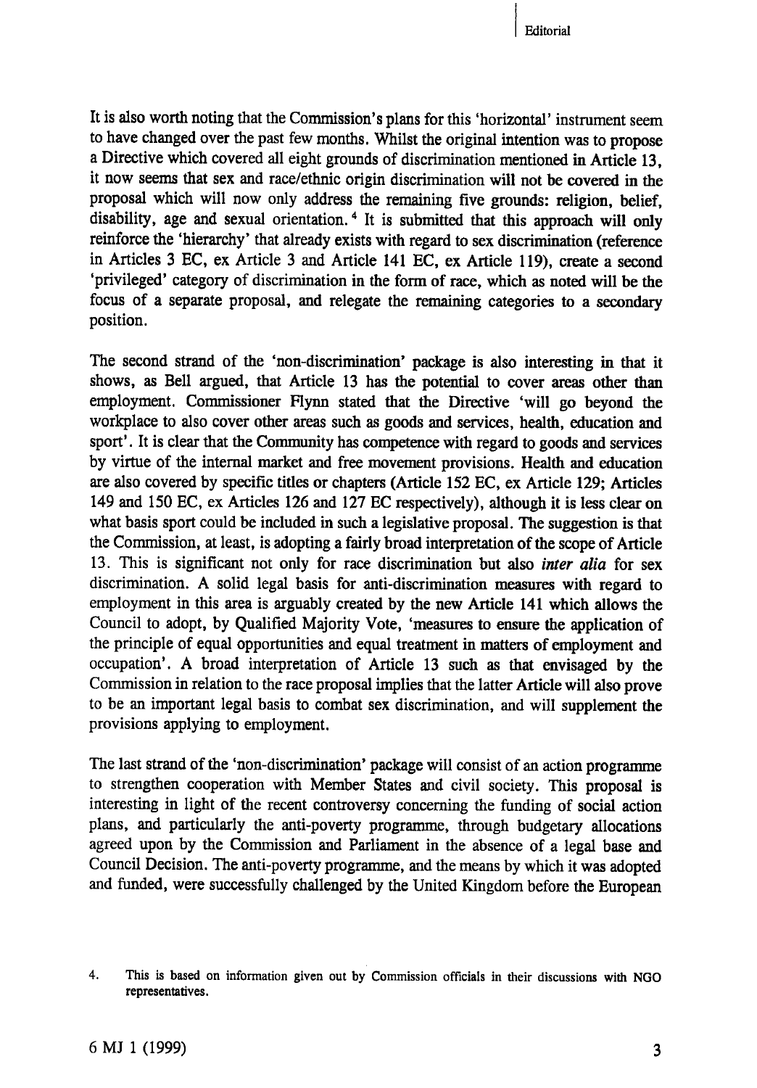Editorial

It is also worth noting that the Commission's plans for this 'horizontal' instrument seem to have changed over the past few months. Whilst the original intention was to propose a Directive which covered all eight grounds of discrimination mentioned in Article 13, it now seems that sex and race/ethnic origin discrimination will not be covered in the proposal which will now only address the remaining five grounds: religion, belief, disability, age and sexual orientation.4 It is submitted that this approach will only reinforce the 'hierarchy' that already exists with regard to sex discrimination (reference in Articles 3 EC, ex Article 3 and Article 141 EC, ex Article 119), create a second 'privileged' category of discrimination in the form of race, which as noted will be the focus of a separate proposal, and relegate the remaining categories to a secondary position.

The second strand of the 'non-discrimination' package is also interesting in that it shows, as Bell argued, that Article 13 has the potential to cover areas other than employment. Commissioner Flynn stated that the Directive 'will go beyond the workplace to also cover other areas such as goods and services, health, education and sport'. It is clear that the Community has competence with regard to goods and services by virtue of the internal market and free movement provisions. Health and education are also covered by specific titles or chapters (Article 152 EC, ex Article 129; Articles 149 and 150 EC, ex Articles 126 and 127 EC respectively), although it is less clear on what basis sport could be included in such a legislative proposal. The suggestion is that the Commission, at least, is adopting a fairly broad interpretation of the scope of Article 13. This is significant not only for race discrimination but also *inter alia* for sex discrimination. A solid legal basis for anti-discrimination measures with regard to employment in this area is arguably created by the new Article 141 which allows the Council to adopt, by Qualified Majority Vote, 'measures to ensure the application of the principle of equal opportunities and equal treatment in matters of employment and occupation'. A broad interpretation of Article 13 such as that envisaged by the Commission in relation to the race proposal implies that the latter Article will also prove to be an important legal basis to combat sex discrimination, and will supplement the provisions applying to employment.

The last strand of the 'non-discrimination' package will consist of an action programme to strengthen cooperation with Member States and civil society. This proposal is interesting in light of the recent controversy concerning the funding of social action plans, and particularly the anti-poverty programme, through budgetary allocations agreed upon by the Commission and Parliament in the absence of a legal base and Council Decision. The anti-poverty programme, and the means by which it was adopted and funded, were successfully challenged by the United Kingdom before the European

<sup>4.</sup> This is based on information given out by Commission officials in their discussions with NGO representatives.